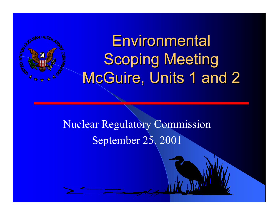# **Environmental Scoping Meeting** McGuire, Units 1 and 2

Nuclear Regulatory Commission September 25, 2001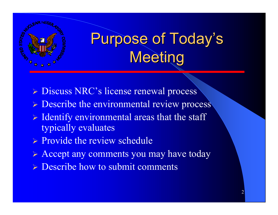

# **Purpose of Today's** Meeting

- **Discuss NRC's license renewal process**
- **Example 2 > Describe the environmental review process**
- $\triangleright$  Identify environmental areas that the staff typically evaluates
- $\triangleright$  Provide the review schedule
- Accept any comments you may have today
- $\triangleright$  Describe how to submit comments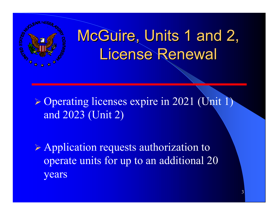# McGuire, Units 1 and 2, License Renewal

 Operating licenses expire in 2021 (Unit 1) and 2023 (Unit 2)

 Application requests authorization to operate units for up to an additional 20 years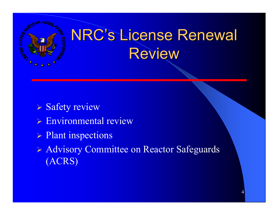

- Safety review
- Environmental review
- > Plant inspections
- Advisory Committee on Reactor Safeguards (ACRS)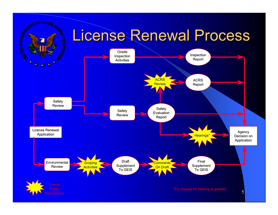### License Renewal Process



R HF/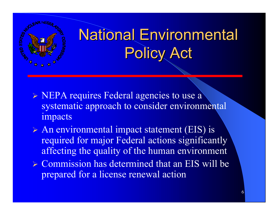

## **National Environmental** Policy Act

- **EPA requires Federal agencies to use a** systematic approach to consider environmental impacts
- An environmental impact statement (EIS) is required for major Federal actions significantly affecting the quality of the human environment
- Commission has determined that an EIS will be prepared for a license renewal action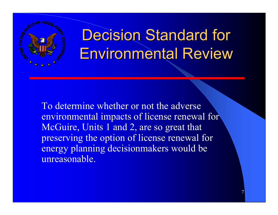

## **Decision Standard for** Environmental Review

To determine whether or not the adverse environmental impacts of license renewal for McGuire, Units 1 and 2, are so great that preserving the option of license renewal for energy planning decisionmakers would be unreasonable.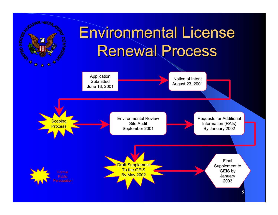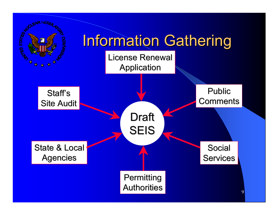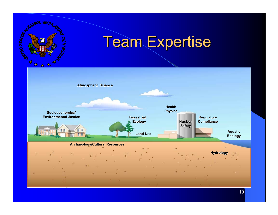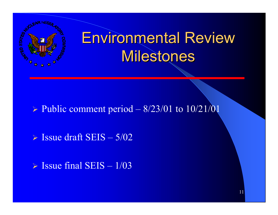

## Environmental Review Milestones

 $\triangleright$  Public comment period – 8/23/01 to 10/21/01

 $\triangleright$  Issue draft SEIS  $-5/02$ 

 $\triangleright$  Issue final SEIS – 1/03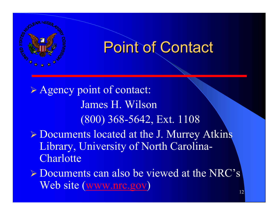

### **Point of Contact**

 Agency point of contact: James H. Wilson(800) 368-5642, Ext. 1108 Documents located at the J. Murrey Atkins Library, University of North Carolina-**Charlotte**  $\triangleright$  Documents can also be viewed at the NRC's

Web site (www.nrc.gov)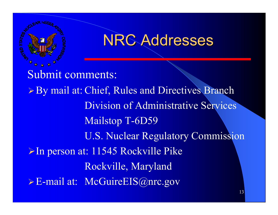

### **NRC Addresses**

 Submit comments: ▶ By mail at: Chief, Rules and Directives Branch Division of Administrative Services Mailstop T-6D59 U.S. Nuclear Regulatory Commission **≻In person at: 11545 Rockville Pike** Rockville, Maryland E-mail at: McGuireEIS@nrc.gov